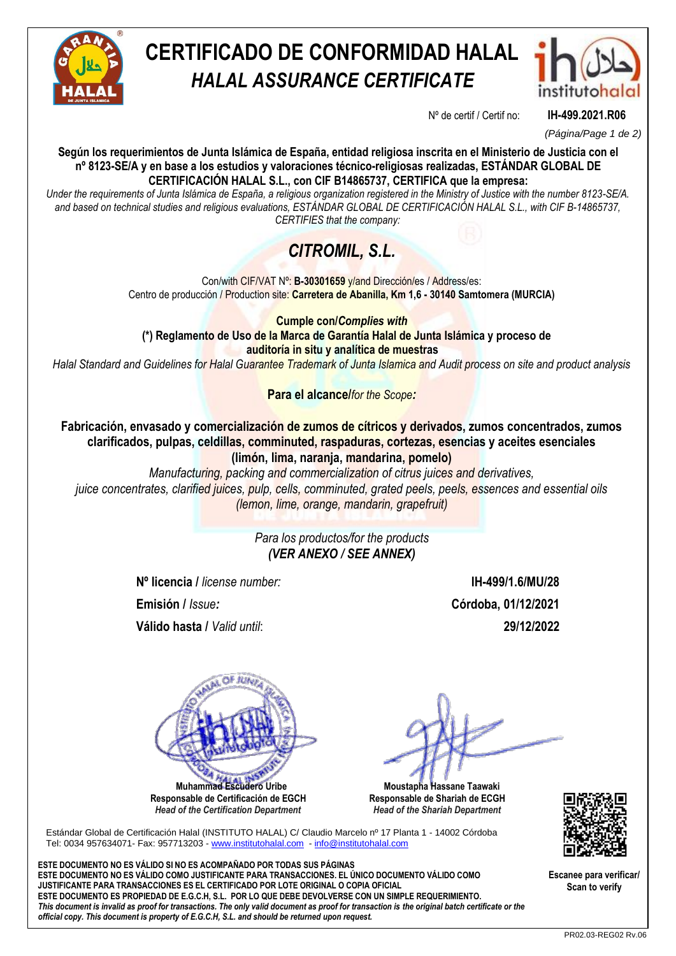

# **CERTIFICADO DE CONFORMIDAD HALAL** *HALAL ASSURANCE CERTIFICATE*



Nº de certif / Certif no: **IH-499.2021.R06**

*(Página/Page 1 de 2)*

**Según los requerimientos de Junta Islámica de España, entidad religiosa inscrita en el Ministerio de Justicia con el nº 8123-SE/A y en base a los estudios y valoraciones técnico-religiosas realizadas, ESTÁNDAR GLOBAL DE CERTIFICACIÓN HALAL S.L., con CIF B14865737, CERTIFICA que la empresa:**

*Under the requirements of Junta Islámica de España, a religious organization registered in the Ministry of Justice with the number 8123-SE/A. and based on technical studies and religious evaluations, ESTÁNDAR GLOBAL DE CERTIFICACIÓN HALAL S.L., with CIF B-14865737, CERTIFIES that the company:*

## *CITROMIL, S.L.*

Con/with CIF/VAT Nº: **B-30301659** y/and Dirección/es / Address/es: Centro de producción / Production site: **Carretera de Abanilla, Km 1,6 - 30140 Samtomera (MURCIA)**

**Cumple con/***Complies with* **(\*) Reglamento de Uso de la Marca de Garantía Halal de Junta Islámica y proceso de auditoría in situ y analítica de muestras**

*Halal Standard and Guidelines for Halal Guarantee Trademark of Junta Islamica and Audit process on site and product analysis*

**Para el alcance/***for the Scope:*

**Fabricación, envasado y comercialización de zumos de cítricos y derivados, zumos concentrados, zumos clarificados, pulpas, celdillas, comminuted, raspaduras, cortezas, esencias y aceites esenciales (limón, lima, naranja, mandarina, pomelo)**

*Manufacturing, packing and commercialization of citrus juices and derivatives, juice concentrates, clarified juices, pulp, cells, comminuted, grated peels, peels, essences and essential oils (lemon, lime, orange, mandarin, grapefruit)*

> *Para los productos/for the products (VER ANEXO / SEE ANNEX)*

**Nº licencia /** *license number:* **IH-499/1.6/MU/28**

**Válido hasta /** *Valid until*: **29/12/2022**

**Emisión /** *Issue:* **Córdoba, 01/12/2021**

R<sub>D</sub>  **Muhammad Escudero Uribe**

**Responsable de Certificación de EGCH**  *Head of the Certification Department*

 **Moustapha Hassane Taawaki Responsable de Shariah de ECGH** *Head of the Shariah Department*

Estándar Global de Certificación Halal (INSTITUTO HALAL) C/ Claudio Marcelo nº 17 Planta 1 - 14002 Córdoba Tel: 0034 957634071- Fax: 957713203 - [www.institutohalal.com](http://www.institutohalal.com/) - [info@institutohalal.com](mailto:info@institutohalal.com)

**ESTE DOCUMENTO NO ES VÁLIDO SI NO ES ACOMPAÑADO POR TODAS SUS PÁGINAS ESTE DOCUMENTO NO ES VÁLIDO COMO JUSTIFICANTE PARA TRANSACCIONES. EL ÚNICO DOCUMENTO VÁLIDO COMO JUSTIFICANTE PARA TRANSACCIONES ES EL CERTIFICADO POR LOTE ORIGINAL O COPIA OFICIAL ESTE DOCUMENTO ES PROPIEDAD DE E.G.C.H, S.L. POR LO QUE DEBE DEVOLVERSE CON UN SIMPLE REQUERIMIENTO.** *This document is invalid as proof for transactions. The only valid document as proof for transaction is the original batch certificate or the official copy. This document is property of E.G.C.H, S.L. and should be returned upon request.*



**Escanee para verificar/ Scan to verify**